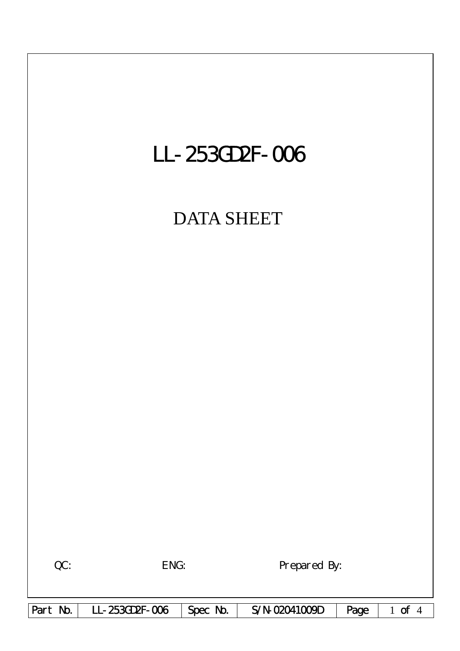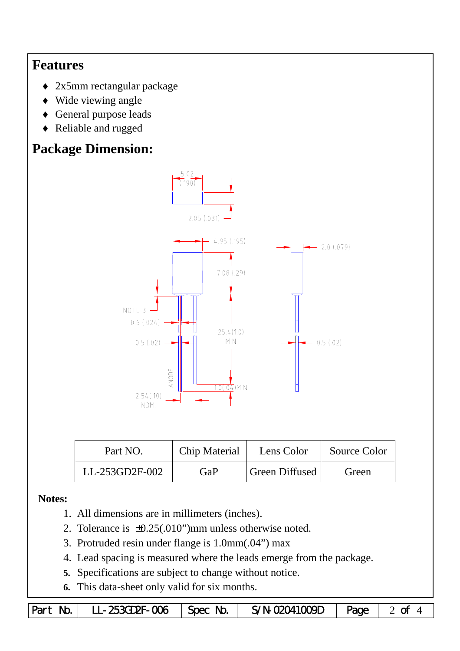## **Features**

- ♦ 2x5mm rectangular package
- ♦ Wide viewing angle
- ♦ General purpose leads
- ♦ Reliable and rugged

# **Package Dimension:**



| Part NO.       | Chip Material | Lens Color            | Source Color |  |
|----------------|---------------|-----------------------|--------------|--|
| LL-253GD2F-002 | GaP           | <b>Green Diffused</b> | Green        |  |

#### **Notes:**

- 1. All dimensions are in millimeters (inches).
- 2. Tolerance is  $\pm 0.25(.010")$  mm unless otherwise noted.
- 3. Protruded resin under flange is 1.0mm(.04") max
- 4. Lead spacing is measured where the leads emerge from the package.
- **5.** Specifications are subject to change without notice.
- **6.** This data-sheet only valid for six months.

|  | Part No.   LL-253GD2F-006   Spec No. |  | $\frac{1}{2}$ S/N-02041009D $\sqrt{2}$ Page $\sqrt{2}$ of 4 |  |  |
|--|--------------------------------------|--|-------------------------------------------------------------|--|--|
|--|--------------------------------------|--|-------------------------------------------------------------|--|--|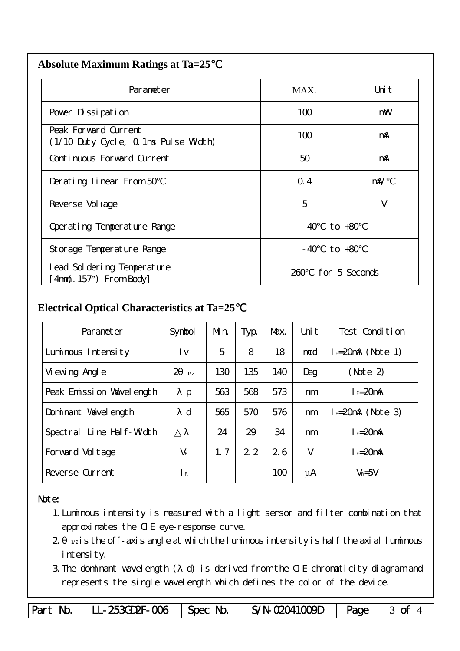| <b>Absolute Maximum Ratings at Ta=25</b> |  |
|------------------------------------------|--|
|                                          |  |

| Parameter                                                    | MAX.                  | Uni t      |
|--------------------------------------------------------------|-----------------------|------------|
| Pover Dissipation                                            | 100                   | mW         |
| Peak Forward Current<br>(1/10 Duty Cycle, 0.1ms Pulse Width) | 100                   | mA         |
| Continuous Forward Current                                   | 50                    | mA         |
| Derating Linear From 50                                      | Q.4                   | $m\lambda$ |
| Reverse Vol tage                                             | 5                     | V          |
| Operating Temperature Range                                  | to $+80$<br>- 40      |            |
| Storage Temperature Range                                    | $-40$ to $+80$        |            |
| Lead Sol dering Temperature<br>4nm(. 157") From Body         | for 5 Seconds<br>260. |            |

### **Electrical Optical Characteristics at Ta=25**℃

| Parameter                   | Symbol                | Mn. | Typ. | Max. | Uni t | Test Condition       |
|-----------------------------|-----------------------|-----|------|------|-------|----------------------|
| Luminous Intensity          | l v                   | 5   | 8    | 18   | mcd   | $I_F=20$ mA (Note 1) |
| Vi ewing Angl e             | $\overline{2}$<br>1/2 | 130 | 135  | 140  | Deg   | (Note 2)             |
| Peak Emission Wavelength    | p                     | 563 | 568  | 573  | nm    | $I_F = 20$ mA        |
| Dominant Wavelength         | $\mathbf d$           | 565 | 570  | 576  | nm    | $I = 20mA$ (Note 3)  |
| Line Half-Width<br>Spectral |                       | 24  | 29   | 34   | nm    | $I_F = 20$ mA        |
| Forward Voltage             | $V_F$                 | 1.7 | 2.2  | 26   | V     | $I_F = 20$ mA        |
| Reverse Current             | $\mathsf{R}$          |     |      | 100  | μA    | $V_R = 5V$           |

#### Note:

- 1.Luminous intensity is measured with a light sensor and filter combination that approximates the CIE eye-response curve.
- $2 1/2$  is the off-axis angle at which the luminous intensity is half the axial luminous i ntensity.
- 3.The dominant wavelength ( d) is derived from the CIE chromaticity diagram and represents the single wavelength which defines the color of the device.

Part No. | LL-253GD2F-006 | Spec No. | S/N-02041009D | Page | 3 of 4